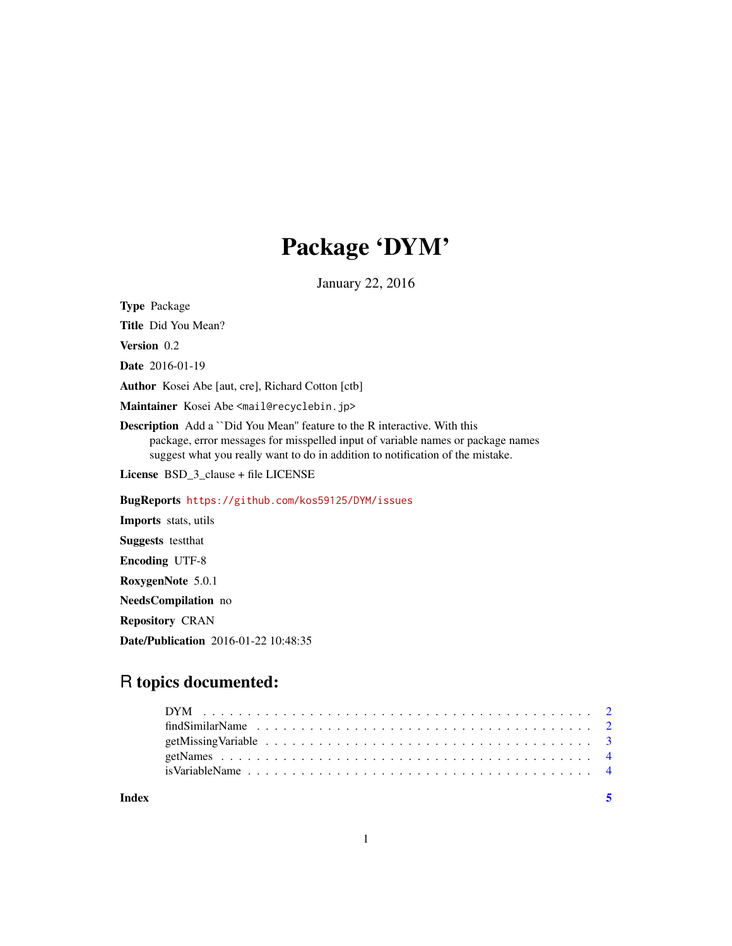## Package 'DYM'

January 22, 2016

<span id="page-0-0"></span>Type Package

Title Did You Mean?

Version 0.2

Date 2016-01-19

Author Kosei Abe [aut, cre], Richard Cotton [ctb]

Maintainer Kosei Abe <mail@recyclebin.jp>

Description Add a ``Did You Mean'' feature to the R interactive. With this package, error messages for misspelled input of variable names or package names suggest what you really want to do in addition to notification of the mistake.

License BSD\_3\_clause + file LICENSE

BugReports <https://github.com/kos59125/DYM/issues>

Imports stats, utils Suggests testthat Encoding UTF-8 RoxygenNote 5.0.1 NeedsCompilation no Repository CRAN Date/Publication 2016-01-22 10:48:35

### R topics documented:

**Index** [5](#page-4-0). The second state of the second state of the second state of the second state of the second state of the second state of the second state of the second state of the second state of the second state of the second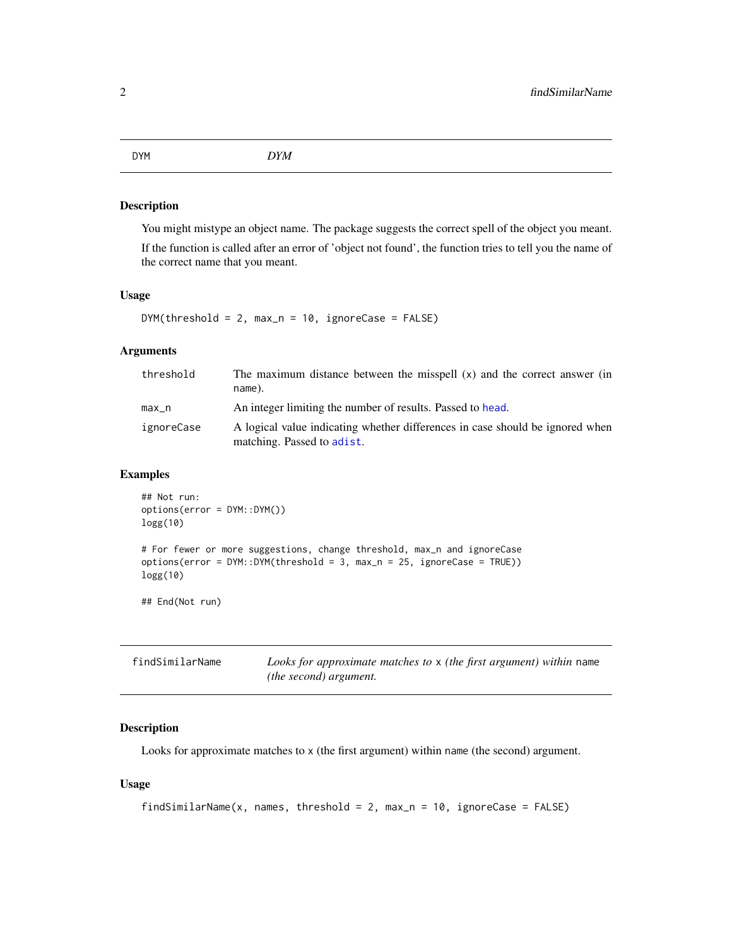#### <span id="page-1-0"></span>Description

You might mistype an object name. The package suggests the correct spell of the object you meant. If the function is called after an error of 'object not found', the function tries to tell you the name of

#### Usage

```
DYM(threshold = 2, max_n = 10, ignoreCase = FALSE)
```
#### Arguments

| threshold  | The maximum distance between the misspell $(x)$ and the correct answer (in<br>name).                        |
|------------|-------------------------------------------------------------------------------------------------------------|
| $max_n$    | An integer limiting the number of results. Passed to head.                                                  |
| ignoreCase | A logical value indicating whether differences in case should be ignored when<br>matching. Passed to adist. |

#### Examples

logg(10)

## End(Not run)

```
## Not run:
options(error = DYM::DYM())
logg(10)
# For fewer or more suggestions, change threshold, max_n and ignoreCase
```

| findSimilarName | Looks for approximate matches to $x$ (the first argument) within name |
|-----------------|-----------------------------------------------------------------------|
|                 | <i>(the second) argument.</i>                                         |

options(error = DYM::DYM(threshold = 3, max\_n = 25, ignoreCase = TRUE))

#### Description

Looks for approximate matches to x (the first argument) within name (the second) argument.

#### Usage

```
findSimilarName(x, names, threshold = 2, max_n = 10, ignoreCase = FALSE)
```
the correct name that you meant.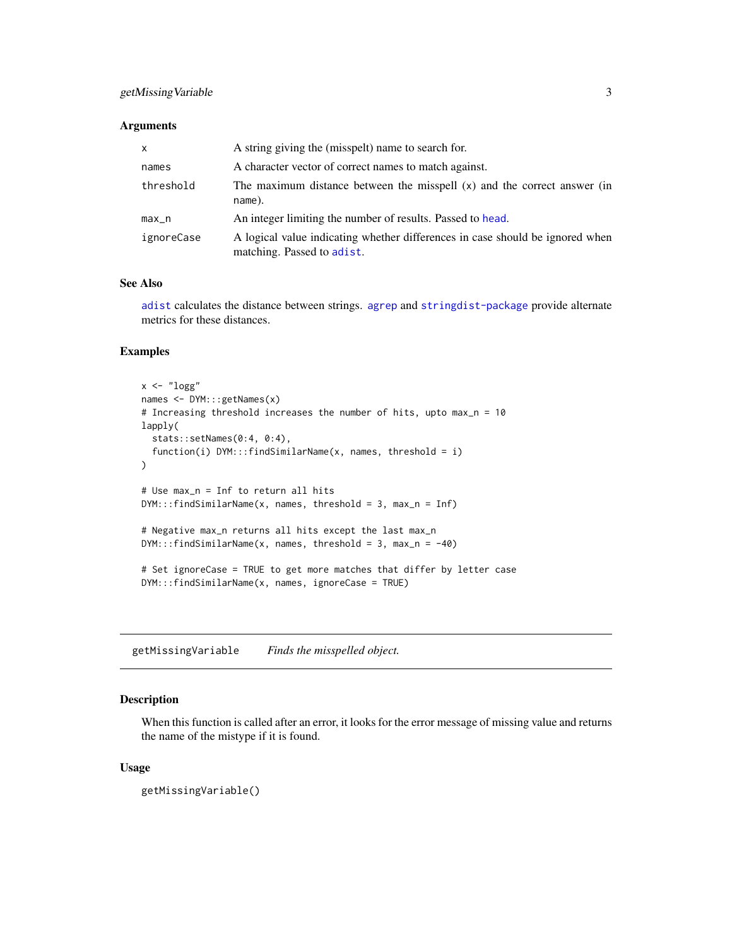#### <span id="page-2-0"></span>Arguments

| $\mathsf{x}$ | A string giving the (misspelt) name to search for.                                                          |
|--------------|-------------------------------------------------------------------------------------------------------------|
| names        | A character vector of correct names to match against.                                                       |
| threshold    | The maximum distance between the misspell $(x)$ and the correct answer (in<br>name).                        |
| $max_n$      | An integer limiting the number of results. Passed to head.                                                  |
| ignoreCase   | A logical value indicating whether differences in case should be ignored when<br>matching. Passed to adist. |

#### See Also

[adist](#page-0-0) calculates the distance between strings. [agrep](#page-0-0) and [stringdist-package](#page-0-0) provide alternate metrics for these distances.

#### Examples

```
x \leftarrow "logg"
names <- DYM:::getNames(x)
# Increasing threshold increases the number of hits, upto max_n = 10
lapply(
  stats::setNames(0:4, 0:4),
  function(i) DYM:::findSimilarName(x, names, threshold = i)
)
# Use max_n = Inf to return all hits
DYM:::findSimilarName(x, names, threshold = 3, max_n = Inf)
# Negative max_n returns all hits except the last max_n
DYM:::findSimilarName(x, names, threshold = 3, max_n = -40)# Set ignoreCase = TRUE to get more matches that differ by letter case
DYM:::findSimilarName(x, names, ignoreCase = TRUE)
```
getMissingVariable *Finds the misspelled object.*

#### Description

When this function is called after an error, it looks for the error message of missing value and returns the name of the mistype if it is found.

#### Usage

getMissingVariable()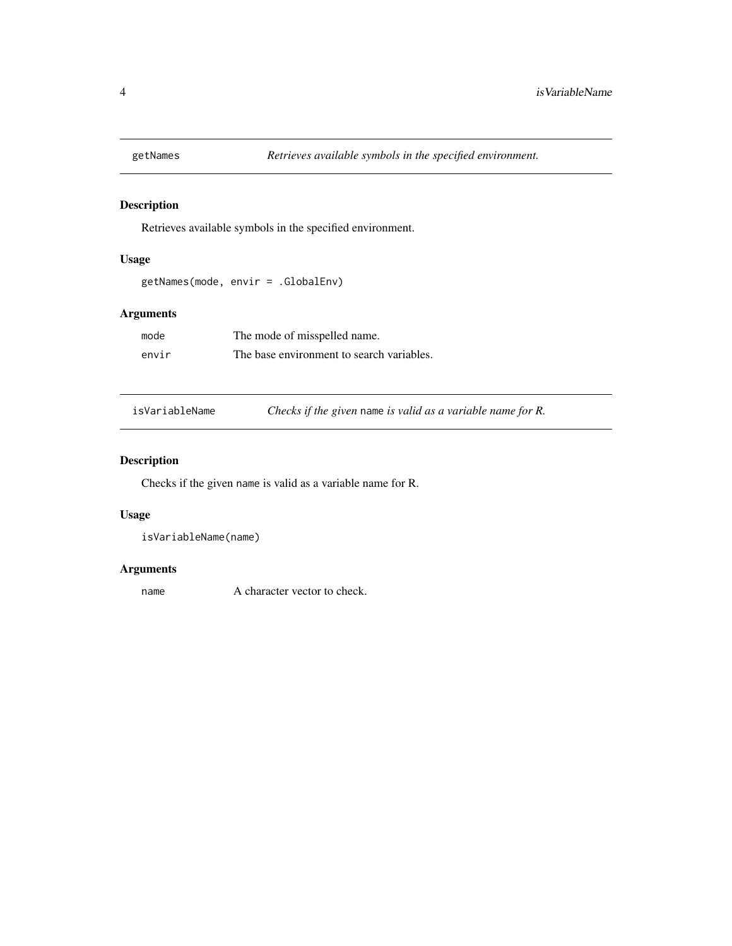<span id="page-3-0"></span>

#### Description

Retrieves available symbols in the specified environment.

#### Usage

```
getNames(mode, envir = .GlobalEnv)
```
#### Arguments

| mode  | The mode of misspelled name.              |
|-------|-------------------------------------------|
| envir | The base environment to search variables. |

isVariableName *Checks if the given* name *is valid as a variable name for R.*

#### Description

Checks if the given name is valid as a variable name for R.

#### Usage

```
isVariableName(name)
```
#### Arguments

name A character vector to check.